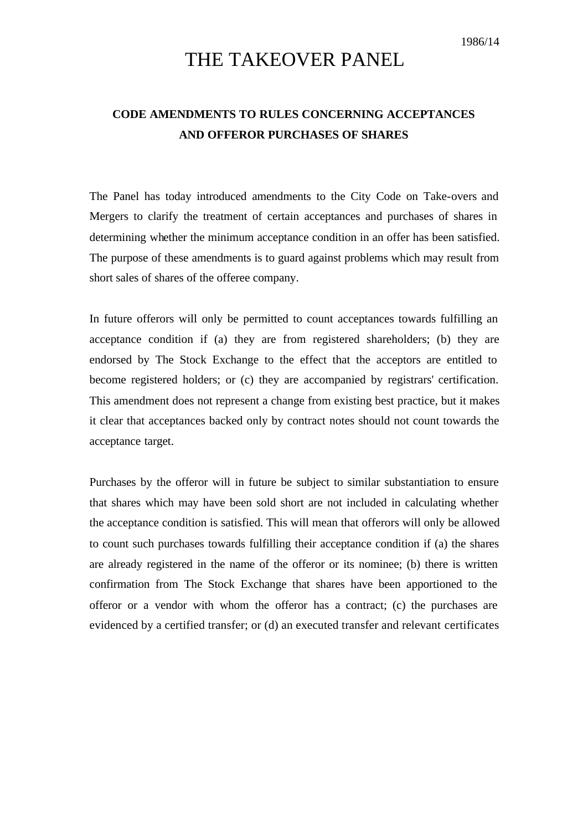# THE TAKEOVER PANEL

## **CODE AMENDMENTS TO RULES CONCERNING ACCEPTANCES AND OFFEROR PURCHASES OF SHARES**

The Panel has today introduced amendments to the City Code on Take-overs and Mergers to clarify the treatment of certain acceptances and purchases of shares in determining whether the minimum acceptance condition in an offer has been satisfied. The purpose of these amendments is to guard against problems which may result from short sales of shares of the offeree company.

In future offerors will only be permitted to count acceptances towards fulfilling an acceptance condition if (a) they are from registered shareholders; (b) they are endorsed by The Stock Exchange to the effect that the acceptors are entitled to become registered holders; or (c) they are accompanied by registrars' certification. This amendment does not represent a change from existing best practice, but it makes it clear that acceptances backed only by contract notes should not count towards the acceptance target.

Purchases by the offeror will in future be subject to similar substantiation to ensure that shares which may have been sold short are not included in calculating whether the acceptance condition is satisfied. This will mean that offerors will only be allowed to count such purchases towards fulfilling their acceptance condition if (a) the shares are already registered in the name of the offeror or its nominee; (b) there is written confirmation from The Stock Exchange that shares have been apportioned to the offeror or a vendor with whom the offeror has a contract; (c) the purchases are evidenced by a certified transfer; or (d) an executed transfer and relevant certificates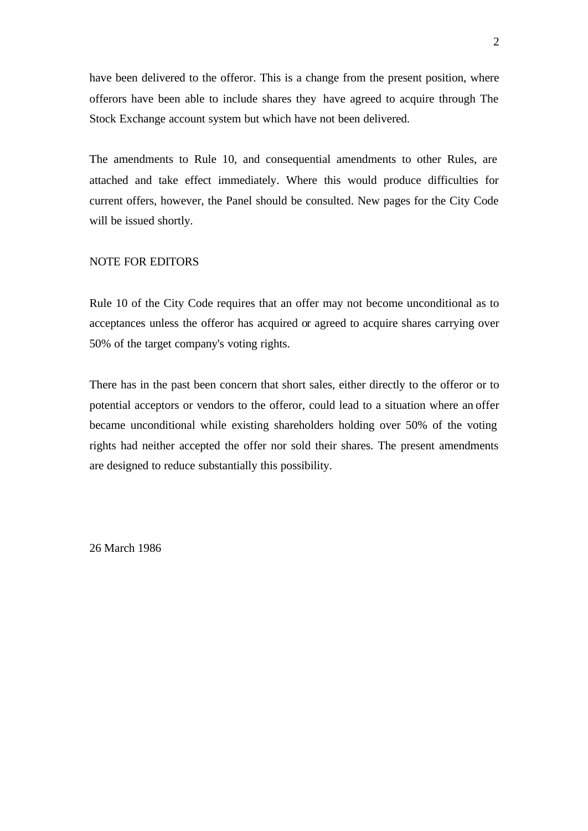have been delivered to the offeror. This is a change from the present position, where offerors have been able to include shares they have agreed to acquire through The Stock Exchange account system but which have not been delivered.

The amendments to Rule 10, and consequential amendments to other Rules, are attached and take effect immediately. Where this would produce difficulties for current offers, however, the Panel should be consulted. New pages for the City Code will be issued shortly.

#### NOTE FOR EDITORS

Rule 10 of the City Code requires that an offer may not become unconditional as to acceptances unless the offeror has acquired or agreed to acquire shares carrying over 50% of the target company's voting rights.

There has in the past been concern that short sales, either directly to the offeror or to potential acceptors or vendors to the offeror, could lead to a situation where an offer became unconditional while existing shareholders holding over 50% of the voting rights had neither accepted the offer nor sold their shares. The present amendments are designed to reduce substantially this possibility.

26 March 1986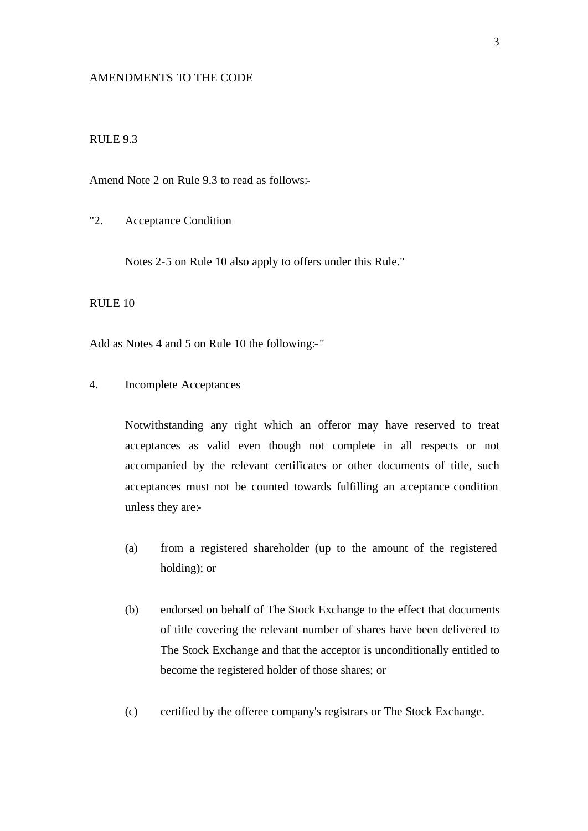#### AMENDMENTS TO THE CODE

## RULE 9.3

Amend Note 2 on Rule 9.3 to read as follows:-

"2. Acceptance Condition

Notes 2-5 on Rule 10 also apply to offers under this Rule."

RULE 10

Add as Notes 4 and 5 on Rule 10 the following:- "

## 4. Incomplete Acceptances

Notwithstanding any right which an offeror may have reserved to treat acceptances as valid even though not complete in all respects or not accompanied by the relevant certificates or other documents of title, such acceptances must not be counted towards fulfilling an acceptance condition unless they are:-

- (a) from a registered shareholder (up to the amount of the registered holding); or
- (b) endorsed on behalf of The Stock Exchange to the effect that documents of title covering the relevant number of shares have been delivered to The Stock Exchange and that the acceptor is unconditionally entitled to become the registered holder of those shares; or
- (c) certified by the offeree company's registrars or The Stock Exchange.